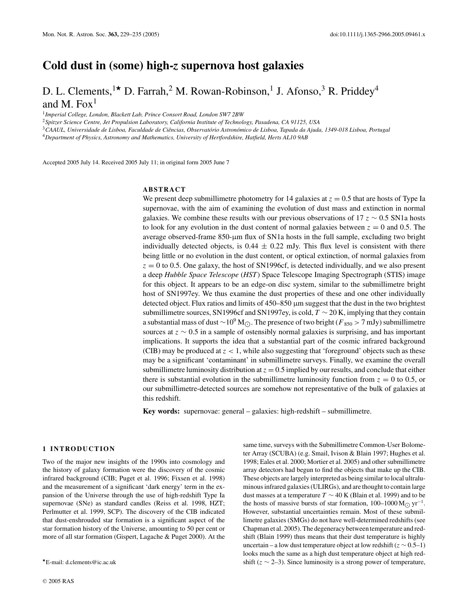## **Cold dust in (some) high-***z* **supernova host galaxies**

# D. L. Clements, <sup>1\*</sup> D. Farrah, <sup>2</sup> M. Rowan-Robinson, <sup>1</sup> J. Afonso, <sup>3</sup> R. Priddey<sup>4</sup> and M. Fox $<sup>1</sup>$ </sup>

<sup>1</sup>*Imperial College, London, Blackett Lab, Prince Consort Road, London SW7 2BW*

<sup>2</sup>*Spitzer Science Centre, Jet Propulsion Laboratory, California Institute of Technology, Pasadena, CA 91125, USA*

<sup>3</sup>*CAAUL, Universidade de Lisboa, Faculdade de Ciencias, Observat ˆ orio Astron ´ omico de Lisboa, Tapada da Ajuda, 1349-018 Lisboa, Portugal ´*

<sup>4</sup>*Department of Physics, Astronomy and Mathematics, University of Hertfordshire, Hatfield, Herts AL10 9AB*

Accepted 2005 July 14. Received 2005 July 11; in original form 2005 June 7

#### **ABSTRACT**

We present deep submillimetre photometry for 14 galaxies at  $z = 0.5$  that are hosts of Type Ia supernovae, with the aim of examining the evolution of dust mass and extinction in normal galaxies. We combine these results with our previous observations of 17 *z* ∼ 0.5 SN1a hosts to look for any evolution in the dust content of normal galaxies between  $z = 0$  and 0.5. The average observed-frame 850-µm flux of SN1a hosts in the full sample, excluding two bright individually detected objects, is  $0.44 \pm 0.22$  mJy. This flux level is consistent with there being little or no evolution in the dust content, or optical extinction, of normal galaxies from  $z = 0$  to 0.5. One galaxy, the host of SN1996cf, is detected individually, and we also present a deep *Hubble Space Telescope* (*HST*) Space Telescope Imaging Spectrograph (STIS) image for this object. It appears to be an edge-on disc system, similar to the submillimetre bright host of SN1997ey. We thus examine the dust properties of these and one other individually detected object. Flux ratios and limits of 450–850 µm suggest that the dust in the two brightest submillimetre sources, SN1996cf and SN1997ey, is cold, *T* ∼ 20 K, implying that they contain a substantial mass of dust ∼10<sup>9</sup> M<sub>O</sub>. The presence of two bright (*F*<sub>850</sub> > 7 mJy) submillimetre sources at *z* ∼ 0.5 in a sample of ostensibly normal galaxies is surprising, and has important implications. It supports the idea that a substantial part of the cosmic infrared background (CIB) may be produced at  $z < 1$ , while also suggesting that 'foreground' objects such as these may be a significant 'contaminant' in submillimetre surveys. Finally, we examine the overall submillimetre luminosity distribution at  $z = 0.5$  implied by our results, and conclude that either there is substantial evolution in the submillimetre luminosity function from  $z = 0$  to 0.5, or our submillimetre-detected sources are somehow not representative of the bulk of galaxies at this redshift.

**Key words:** supernovae: general – galaxies: high-redshift – submillimetre.

#### **1 INTRODUCTION**

Two of the major new insights of the 1990s into cosmology and the history of galaxy formation were the discovery of the cosmic infrared background (CIB; Puget et al. 1996; Fixsen et al. 1998) and the measurement of a significant 'dark energy' term in the expansion of the Universe through the use of high-redshift Type Ia supernovae (SNe) as standard candles (Reiss et al. 1998, HZT; Perlmutter et al. 1999, SCP). The discovery of the CIB indicated that dust-enshrouded star formation is a significant aspect of the star formation history of the Universe, amounting to 50 per cent or more of all star formation (Gispert, Lagache & Puget 2000). At the

ter Array (SCUBA) (e.g. Smail, Ivison & Blain 1997; Hughes et al. 1998; Eales et al. 2000; Mortier et al. 2005) and other submillimetre array detectors had begun to find the objects that make up the CIB. These objects are largely interpreted as being similar to local ultraluminous infrared galaxies (ULIRGs), and are thought to contain large dust masses at a temperature  $T \sim 40$  K (Blain et al. 1999) and to be the hosts of massive bursts of star formation,  $100-1000 M_{\odot}$  yr<sup>-1</sup>. However, substantial uncertainties remain. Most of these submillimetre galaxies (SMGs) do not have well-determined redshifts (see Chapman et al. 2005). The degeneracy between temperature and redshift (Blain 1999) thus means that their dust temperature is highly uncertain – a low dust temperature object at low redshift ( $z$  ∼ 0.5–1) looks much the same as a high dust temperature object at high redshift ( $z \sim 2-3$ ). Since luminosity is a strong power of temperature,

same time, surveys with the Submillimetre Common-User Bolome-

E-mail: d.clements@ic.ac.uk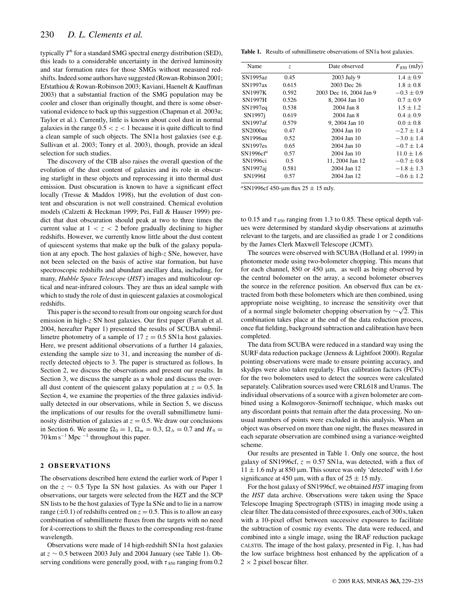typically  $T^6$  for a standard SMG spectral energy distribution (SED), this leads to a considerable uncertainty in the derived luminosity and star formation rates for those SMGs without measured redshifts. Indeed some authors have suggested (Rowan-Robinson 2001; Efstathiou & Rowan-Robinson 2003; Kaviani, Haenelt & Kauffman 2003) that a substantial fraction of the SMG population may be cooler and closer than originally thought, and there is some observational evidence to back up this suggestion (Chapman et al. 2003a; Taylor et al.). Currently, little is known about cool dust in normal galaxies in the range  $0.5 < z < 1$  because it is quite difficult to find a clean sample of such objects. The SN1a host galaxies (see e.g. Sullivan et al. 2003; Tonry et al. 2003), though, provide an ideal selection for such studies.

The discovery of the CIB also raises the overall question of the evolution of the dust content of galaxies and its role in obscuring starlight in these objects and reprocessing it into thermal dust emission. Dust obscuration is known to have a significant effect locally (Tresse & Maddox 1998), but the evolution of dust content and obscuration is not well constrained. Chemical evolution models (Calzetti & Heckman 1999; Pei, Fall & Hauser 1999) predict that dust obscuration should peak at two to three times the current value at  $1 < z < 2$  before gradually declining to higher redshifts. However, we currently know little about the dust content of quiescent systems that make up the bulk of the galaxy population at any epoch. The host galaxies of high-*z* SNe, however, have not been selected on the basis of active star formation, but have spectroscopic redshifts and abundant ancillary data, including, for many, *Hubble Space Telescope* (*HST*) images and multicolour optical and near-infrared colours. They are thus an ideal sample with which to study the role of dust in quiescent galaxies at cosmological redshifts.

This paper is the second to result from our ongoing search for dust emission in high-*z* SN host galaxies. Our first paper (Farrah et al. 2004, hereafter Paper 1) presented the results of SCUBA submillimetre photometry of a sample of  $17 z = 0.5$  SN1a host galaxies. Here, we present additional observations of a further 14 galaxies, extending the sample size to 31, and increasing the number of directly detected objects to 3. The paper is structured as follows. In Section 2, we discuss the observations and present our results. In Section 3, we discuss the sample as a whole and discuss the overall dust content of the quiescent galaxy population at  $z = 0.5$ . In Section 4, we examine the properties of the three galaxies individually detected in our observations, while in Section 5, we discuss the implications of our results for the overall submillimetre luminosity distribution of galaxies at  $z = 0.5$ . We draw our conclusions in Section 6. We assume  $\Omega_0 = 1$ ,  $\Omega_m = 0.3$ ,  $\Omega_{\Lambda} = 0.7$  and  $H_0 =$ 70 km s<sup> $-1$ </sup> Mpc  $-1$  throughout this paper.

#### **2 O B S E RVAT I O N S**

The observations described here extend the earlier work of Paper 1 on the *z* ∼ 0.5 Type Ia SN host galaxies. As with our Paper 1 observations, our targets were selected from the HZT and the SCP SN lists to be the host galaxies of Type Ia SNe and to lie in a narrow range ( $\pm$ 0.1) of redshifts centred on  $z = 0.5$ . This is to allow an easy combination of submillimetre fluxes from the targets with no need for *k*-corrections to shift the fluxes to the corresponding rest-frame wavelength.

Observations were made of 14 high-redshift SN1a host galaxies at *z* ∼ 0.5 between 2003 July and 2004 January (see Table 1). Observing conditions were generally good, with  $\tau_{850}$  ranging from 0.2

**Table 1.** Results of submillimetre observations of SN1a host galaxies.

| Name                  | Date observed<br>Z. |                         | $F_{850}$ (mJy) |  |
|-----------------------|---------------------|-------------------------|-----------------|--|
| SN1995az              | 0.45                | 2003 July 9             | $1.4 \pm 0.9$   |  |
| SN1997ax              | 0.615               | 2003 Dec 26             | $1.8 \pm 0.8$   |  |
| <b>SN1997K</b>        | 0.592               | 2003 Dec 16, 2004 Jan 9 | $-0.3 \pm 0.9$  |  |
| <b>SN1997H</b>        | 0.526               | 8, 2004 Jan 10          | $0.7 \pm 0.9$   |  |
| SN1997eq              | 0.538               | 2004 Jan 8              | $1.5 \pm 1.2$   |  |
| SN <sub>1997i</sub>   | 0.619               | 2004 Jan 8              | $0.4 \pm 0.9$   |  |
| SN1997af              | 0.579               | 9. 2004 Jan 10          | $0.0 \pm 0.8$   |  |
| SN2000ec              | 0.47                | 2004 Jan 10             | $-2.7 \pm 1.4$  |  |
| SN1996au              | 0.52                | 2004 Jan 10             | $-3.0 \pm 1.4$  |  |
| <b>SN1997es</b>       | 0.65                | 2004 Jan 10             | $-0.7 \pm 1.4$  |  |
| SN1996cf <sup>a</sup> | 0.57                | 2004 Jan 10             | $11.0 \pm 1.6$  |  |
| SN1996ci              | 0.5                 | 11, 2004 Jan 12         | $-0.7 \pm 0.8$  |  |
| SN1997aj              | 0.581               | 2004 Jan 12             | $-1.8 \pm 1.3$  |  |
| <b>SN1996I</b>        | 0.57                | 2004 Jan 12             | $-0.6 \pm 1.2$  |  |

 ${}^{a}$ SN1996cf 450-µm flux 25  $\pm$  15 mJy.

to 0.15 and  $\tau_{450}$  ranging from 1.3 to 0.85. These optical depth values were determined by standard skydip observations at azimuths relevant to the targets, and are classified as grade 1 or 2 conditions by the James Clerk Maxwell Telescope (JCMT).

The sources were observed with SCUBA (Holland et al. 1999) in photometer mode using two-bolometer chopping. This means that for each channel,  $850$  or  $450 \mu m$ , as well as being observed by the central bolometer on the array, a second bolometer observes the source in the reference position. An observed flux can be extracted from both these bolometers which are then combined, using appropriate noise weighting, to increase the sensitivity over that of a normal single bolometer chopping observation by  $\sim \sqrt{2}$ . This combination takes place at the end of the data reduction process, once flat fielding, background subtraction and calibration have been completed.

The data from SCUBA were reduced in a standard way using the SURF data reduction package (Jenness & Lightfoot 2000). Regular pointing observations were made to ensure pointing accuracy, and skydips were also taken regularly. Flux calibration factors (FCFs) for the two bolometers used to detect the sources were calculated separately. Calibration sources used were CRL618 and Uranus. The individual observations of a source with a given bolometer are combined using a Kolmogorov-Smirnoff technique, which masks out any discordant points that remain after the data processing. No unusual numbers of points were excluded in this analysis. When an object was observed on more than one night, the fluxes measured in each separate observation are combined using a variance-weighted scheme.

Our results are presented in Table 1. Only one source, the host galaxy of SN1996cf,  $z = 0.57$  SN1a, was detected, with a flux of  $11 \pm 1.6$  mJy at 850 µm. This source was only 'detected' with  $1.6\sigma$ significance at 450  $\mu$ m, with a flux of 25  $\pm$  15 mJy.

For the host galaxy of SN1996cf, we obtained *HST* imaging from the *HST* data archive. Observations were taken using the Space Telescope Imaging Spectrograph (STIS) in imaging mode using a clear filter. The data consisted of three exposures, each of 300 s, taken with a 10-pixel offset between successive exposures to facilitate the subtraction of cosmic ray events. The data were reduced, and combined into a single image, using the IRAF reduction package CALSTIS. The image of the host galaxy, presented in Fig. 1, has had the low surface brightness host enhanced by the application of a  $2 \times 2$  pixel boxcar filter.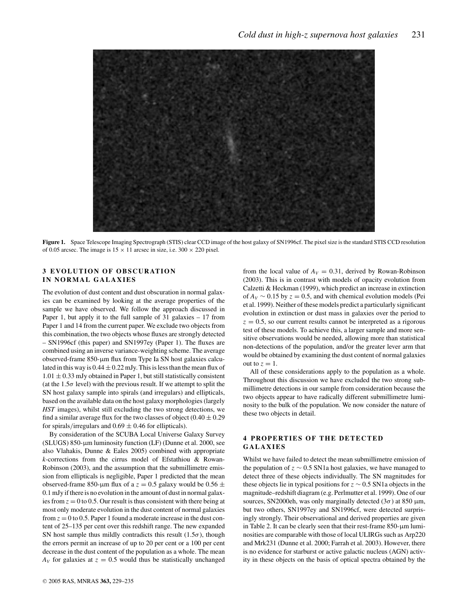

**Figure 1.** Space Telescope Imaging Spectrograph (STIS) clear CCD image of the host galaxy of SN1996cf. The pixel size is the standard STIS CCD resolution of 0.05 arcsec. The image is  $15 \times 11$  arcsec in size, i.e.  $300 \times 220$  pixel.

### **3 EVOLUTION OF OBSCURATION IN NORMAL GALAXIES**

The evolution of dust content and dust obscuration in normal galaxies can be examined by looking at the average properties of the sample we have observed. We follow the approach discussed in Paper 1, but apply it to the full sample of 31 galaxies – 17 from Paper 1 and 14 from the current paper. We exclude two objects from this combination, the two objects whose fluxes are strongly detected – SN1996cf (this paper) and SN1997ey (Paper 1). The fluxes are combined using an inverse variance-weighting scheme. The average observed-frame 850-µm flux from Type Ia SN host galaxies calculated in this way is  $0.44 \pm 0.22$  mJy. This is less than the mean flux of  $1.01 \pm 0.33$  mJy obtained in Paper 1, but still statistically consistent (at the 1.5 $\sigma$  level) with the previous result. If we attempt to split the SN host galaxy sample into spirals (and irregulars) and ellipticals, based on the available data on the host galaxy morphologies (largely *HST* images), whilst still excluding the two strong detections, we find a similar average flux for the two classes of object  $(0.40 \pm 0.29)$ for spirals/irregulars and  $0.69 \pm 0.46$  for ellipticals).

By consideration of the SCUBA Local Universe Galaxy Survey (SLUGS) 850-µm luminosity function (LF) (Dunne et al. 2000, see also Vlahakis, Dunne & Eales 2005) combined with appropriate *k*-corrections from the cirrus model of Efstathiou & Rowan-Robinson (2003), and the assumption that the submillimetre emission from ellipticals is negligible, Paper 1 predicted that the mean observed-frame 850-µm flux of a  $z = 0.5$  galaxy would be  $0.56 \pm$ 0.1 mJy if there is no evolution in the amount of dust in normal galaxies from  $z = 0$  to 0.5. Our result is thus consistent with there being at most only moderate evolution in the dust content of normal galaxies from  $z = 0$  to 0.5. Paper 1 found a moderate increase in the dust content of 25–135 per cent over this redshift range. The new expanded SN host sample thus mildly contradicts this result  $(1.5\sigma)$ , though the errors permit an increase of up to 20 per cent or a 100 per cent decrease in the dust content of the population as a whole. The mean  $A_V$  for galaxies at  $z = 0.5$  would thus be statistically unchanged from the local value of  $A_V = 0.31$ , derived by Rowan-Robinson (2003). This is in contrast with models of opacity evolution from Calzetti & Heckman (1999), which predict an increase in extinction of  $A_V \sim 0.15$  by  $z = 0.5$ , and with chemical evolution models (Pei et al. 1999). Neither of these models predict a particularly significant evolution in extinction or dust mass in galaxies over the period to  $z = 0.5$ , so our current results cannot be interpreted as a rigorous test of these models. To achieve this, a larger sample and more sensitive observations would be needed, allowing more than statistical non-detections of the population, and/or the greater lever arm that would be obtained by examining the dust content of normal galaxies out to  $z = 1$ .

All of these considerations apply to the population as a whole. Throughout this discussion we have excluded the two strong submillimetre detections in our sample from consideration because the two objects appear to have radically different submillimetre luminosity to the bulk of the population. We now consider the nature of these two objects in detail.

### **4 PROPERTIES OF THE DETECTED GALAXIES**

Whilst we have failed to detect the mean submillimetre emission of the population of *z* ∼ 0.5 SN1a host galaxies, we have managed to detect three of these objects individually. The SN magnitudes for these objects lie in typical positions for *z* ∼ 0.5 SN1a objects in the magnitude–redshift diagram (e.g. Perlmutter et al. 1999). One of our sources, SN2000eh, was only marginally detected  $(3\sigma)$  at 850  $\mu$ m, but two others, SN1997ey and SN1996cf, were detected surprisingly strongly. Their observational and derived properties are given in Table 2. It can be clearly seen that their rest-frame  $850$ - $\mu$ m luminosities are comparable with those of local ULIRGs such as Arp220 and Mrk231 (Dunne et al. 2000; Farrah et al. 2003). However, there is no evidence for starburst or active galactic nucleus (AGN) activity in these objects on the basis of optical spectra obtained by the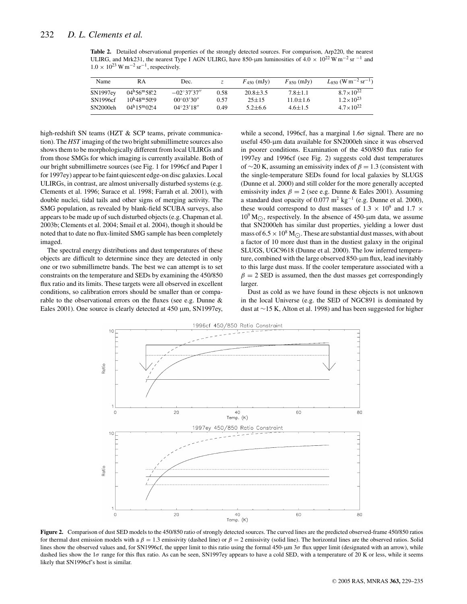**Table 2.** Detailed observational properties of the strongly detected sources. For comparison, Arp220, the nearest ULIRG, and Mrk231, the nearest Type I AGN ULIRG, have 850-µm luminosities of  $4.0 \times 10^{22}$  W m<sup>-2</sup> sr <sup>-1</sup> and  $1.0 \times 10^{23}$  W m<sup>-2</sup> sr<sup>-1</sup>, respectively.

| Name     | RА                                | Dec.                 |      | $F_{450}$ (mJy) | $F_{850}$ (mJy) | $L_{850}$ (W m <sup>-2</sup> sr <sup>-1</sup> ) |
|----------|-----------------------------------|----------------------|------|-----------------|-----------------|-------------------------------------------------|
| SN1997ey | $04^{\rm h}56^{\rm m}58^{\rm s}2$ | $-02^{\circ}37'37''$ | 0.58 | $20.8 + 3.5$    | $7.8 + 1.1$     | $8.7 \times 10^{22}$                            |
| SN1996cf | $10^{h}48^{m}50^{s}9$             | $00^{\circ}03'30''$  | 0.57 | $25 + 15$       | $11.0 \pm 1.6$  | $1.2 \times 10^{23}$                            |
| SN2000eh | $04^{\rm h}15^{\rm m}02^{\rm s}4$ | $04^{\circ}23'18''$  | 0.49 | $5.2 + 6.6$     | $4.6 + 1.5$     | $4.7 \times 10^{22}$                            |

high-redshift SN teams (HZT & SCP teams, private communication). The *HST* imaging of the two bright submillimetre sources also shows them to be morphologically different from local ULIRGs and from those SMGs for which imaging is currently available. Both of our bright submillimetre sources (see Fig. 1 for 1996cf and Paper 1 for 1997ey) appear to be faint quiescent edge-on disc galaxies. Local ULIRGs, in contrast, are almost universally disturbed systems (e.g. Clements et al. 1996; Surace et al. 1998; Farrah et al. 2001), with double nuclei, tidal tails and other signs of merging activity. The SMG population, as revealed by blank-field SCUBA surveys, also appears to be made up of such disturbed objects (e.g. Chapman et al. 2003b; Clements et al. 2004; Smail et al. 2004), though it should be noted that to date no flux-limited SMG sample has been completely imaged.

The spectral energy distributions and dust temperatures of these objects are difficult to determine since they are detected in only one or two submillimetre bands. The best we can attempt is to set constraints on the temperature and SEDs by examining the 450/850 flux ratio and its limits. These targets were all observed in excellent conditions, so calibration errors should be smaller than or comparable to the observational errors on the fluxes (see e.g. Dunne & Eales 2001). One source is clearly detected at 450 µm, SN1997ey,

while a second, 1996cf, has a marginal 1.6σ signal. There are no useful 450-µm data available for SN2000eh since it was observed in poorer conditions. Examination of the 450/850 flux ratio for 1997ey and 1996cf (see Fig. 2) suggests cold dust temperatures of ∼20 K, assuming an emissivity index of  $\beta = 1.3$  (consistent with the single-temperature SEDs found for local galaxies by SLUGS (Dunne et al. 2000) and still colder for the more generally accepted emissivity index  $\beta = 2$  (see e.g. Dunne & Eales 2001). Assuming a standard dust opacity of 0.077 m<sup>2</sup> kg<sup>-1</sup> (e.g. Dunne et al. 2000), these would correspond to dust masses of 1.3  $\times$  10<sup>9</sup> and 1.7  $\times$  $10^9$  M<sub>O</sub>, respectively. In the absence of 450-µm data, we assume that SN2000eh has similar dust properties, yielding a lower dust mass of  $6.5 \times 10^8$  M<sub>C</sub>. These are substantial dust masses, with about a factor of 10 more dust than in the dustiest galaxy in the original SLUGS, UGC9618 (Dunne et al. 2000). The low inferred temperature, combined with the large observed 850-µm flux, lead inevitably to this large dust mass. If the cooler temperature associated with a  $\beta = 2$  SED is assumed, then the dust masses get correspondingly larger.

Dust as cold as we have found in these objects is not unknown in the local Universe (e.g. the SED of NGC891 is dominated by dust at ∼15 K, Alton et al. 1998) and has been suggested for higher



**Figure 2.** Comparison of dust SED models to the 450/850 ratio of strongly detected sources. The curved lines are the predicted observed-frame 450/850 ratios for thermal dust emission models with a  $\beta = 1.3$  emissivity (dashed line) or  $\beta = 2$  emissivity (solid line). The horizontal lines are the observed ratios. Solid lines show the observed values and, for SN1996cf, the upper limit to this ratio using the formal 450-µm  $3\sigma$  flux upper limit (designated with an arrow), while dashed lies show the 1σ range for this flux ratio. As can be seen, SN1997ey appears to have a cold SED, with a temperature of 20 K or less, while it seems likely that SN1996cf's host is similar.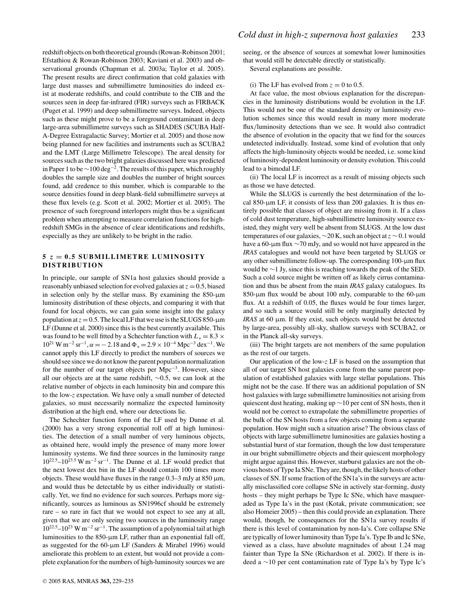redshift objects on both theoretical grounds (Rowan-Robinson 2001; Efstathiou & Rowan-Robinson 2003; Kaviani et al. 2003) and observational grounds (Chapman et al. 2003a; Taylor et al. 2005). The present results are direct confirmation that cold galaxies with large dust masses and submillimetre luminosities do indeed exist at moderate redshifts, and could contribute to the CIB and the sources seen in deep far-infrared (FIR) surveys such as FIRBACK (Puget et al. 1999) and deep submillimetre surveys. Indeed, objects such as these might prove to be a foreground contaminant in deep large-area submillimetre surveys such as SHADES (SCUBA Half-A-Degree Extragalactic Survey; Mortier et al. 2005) and those now being planned for new facilities and instruments such as SCUBA2 and the LMT (Large Millimetre Telescope). The areal density for sources such as the two bright galaxies discussed here was predicted in Paper 1 to be ∼100 deg−2. The results of this paper, which roughly doubles the sample size and doubles the number of bright sources found, add credence to this number, which is comparable to the source densities found in deep blank-field submillimetre surveys at these flux levels (e.g. Scott et al. 2002; Mortier et al. 2005). The presence of such foreground interlopers might thus be a significant problem when attempting to measure correlation functions for highredshift SMGs in the absence of clear identifications and redshifts, especially as they are unlikely to be bright in the radio.

#### **5** *z* **= 0.5 SUBMILLIMETRE LUMINOSITY DISTRIBUTION**

In principle, our sample of SN1a host galaxies should provide a reasonably unbiased selection for evolved galaxies at  $z = 0.5$ , biased in selection only by the stellar mass. By examining the  $850$ - $\mu$ m luminosity distribution of these objects, and comparing it with that found for local objects, we can gain some insight into the galaxy population at  $z = 0.5$ . The local LF that we use is the SLUGS 850-µm LF (Dunne et al. 2000) since this is the best currently available. This was found to be well fitted by a Schechter function with  $L_* = 8.3 \times$  $10^{21}$  W m<sup>-2</sup> sr<sup>-1</sup>,  $\alpha = -2.18$  and  $\Phi_* = 2.9 \times 10^{-4}$  Mpc<sup>-3</sup> dex<sup>-1</sup>. We cannot apply this LF directly to predict the numbers of sources we should see since we do not know the parent population normalization for the number of our target objects per Mpc−3. However, since all our objects are at the same redshift, ∼0.5, we can look at the relative number of objects in each luminosity bin and compare this to the low-*z* expectation. We have only a small number of detected galaxies, so must necessarily normalize the expected luminosity distribution at the high end, where our detections lie.

The Schechter function form of the LF used by Dunne et al. (2000) has a very strong exponential roll off at high luminosities. The detection of a small number of very luminous objects, as obtained here, would imply the presence of many more lower luminosity systems. We find three sources in the luminosity range 10<sup>22</sup>.5–1023.<sup>5</sup> W m−<sup>2</sup> sr−1. The Dunne et al. LF would predict that the next lowest dex bin in the LF should contain 100 times more objects. These would have fluxes in the range  $0.3-3$  mJy at  $850 \mu m$ , and would thus be detectable by us either individually or statistically. Yet, we find no evidence for such sources. Perhaps more significantly, sources as luminous as SN1996cf should be extremely rare – so rare in fact that we would not expect to see any at all, given that we are only seeing two sources in the luminosity range  $10^{22.5}$ – $10^{23}$  W m<sup>-2</sup> sr<sup>-1</sup>. The assumption of a polynomial tail at high luminosities to the 850-µm LF, rather than an exponential fall off, as suggested for the 60- $\mu$ m LF (Sanders & Mirabel 1996) would ameliorate this problem to an extent, but would not provide a complete explanation for the numbers of high-luminosity sources we are

seeing, or the absence of sources at somewhat lower luminosities that would still be detectable directly or statistically.

Several explanations are possible.

#### (i) The LF has evolved from  $z = 0$  to 0.5.

At face value, the most obvious explanation for the discrepancies in the luminosity distributions would be evolution in the LF. This would not be one of the standard density or luminosity evolution schemes since this would result in many more moderate flux/luminosity detections than we see. It would also contradict the absence of evolution in the opacity that we find for the sources undetected individually. Instead, some kind of evolution that only affects the high-luminosity objects would be needed, i.e. some kind of luminosity-dependent luminosity or density evolution. This could lead to a bimodal LF.

(ii) The local LF is incorrect as a result of missing objects such as those we have detected.

While the SLUGS is currently the best determination of the local 850-µm LF, it consists of less than 200 galaxies. It is thus entirely possible that classes of object are missing from it. If a class of cold dust temperature, high-submillimetre luminosity source existed, they might very well be absent from SLUGS. At the low dust temperatures of our galaxies, ∼20 K, such an object at*z* ∼ 0.1 would have a 60-µm flux ∼70 mJy, and so would not have appeared in the *IRAS* catalogues and would not have been targeted by SLUGS or any other submillimetre follow-up. The corresponding  $100$ - $\mu$ m flux would be ∼1 Jy, since this is reaching towards the peak of the SED. Such a cold source might be written off as likely cirrus contamination and thus be absent from the main *IRAS* galaxy catalogues. Its 850-µm flux would be about 100 mJy, comparable to the 60-µm flux. At a redshift of 0.05, the fluxes would be four times larger, and so such a source would still be only marginally detected by *IRAS* at 60 µm. If they exist, such objects would best be detected by large-area, possibly all-sky, shallow surveys with SCUBA2, or in the Planck all-sky surveys.

(iii) The bright targets are not members of the same population as the rest of our targets.

Our application of the low-*z* LF is based on the assumption that all of our target SN host galaxies come from the same parent population of established galaxies with large stellar populations. This might not be the case. If there was an additional population of SN host galaxies with large submillimetre luminosities not arising from quiescent dust heating, making up ∼10 per cent of SN hosts, then it would not be correct to extrapolate the submillimetre properties of the bulk of the SN hosts from a few objects coming from a separate population. How might such a situation arise? The obvious class of objects with large submillimetre luminosities are galaxies hosting a substantial burst of star formation, though the low dust temperature in our bright submillimetre objects and their quiescent morphology might argue against this. However, starburst galaxies are not the obvious hosts of Type Ia SNe. They are, though, the likely hosts of other classes of SN. If some fraction of the SN1a's in the surveys are actually misclassified core collapse SNe in actively star-forming, dusty hosts – they might perhaps be Type Ic SNe, which have masqueraded as Type Ia's in the past (Kotak, private communication; see also Homeier 2005) – then this could provide an explanation. There would, though, be consequences for the SN1a survey results if there is this level of contamination by non-Ia's. Core collapse SNe are typically of lower luminosity than Type Ia's. Type Ib and Ic SNe, viewed as a class, have absolute magnitudes of about 1.24 mag fainter than Type Ia SNe (Richardson et al. 2002). If there is indeed a ∼10 per cent contamination rate of Type Ia's by Type Ic's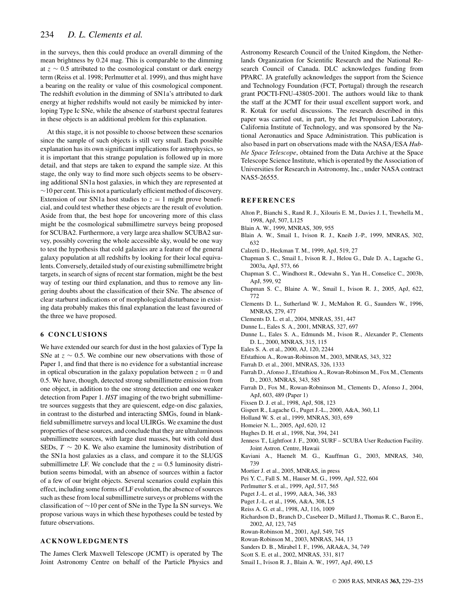in the surveys, then this could produce an overall dimming of the mean brightness by 0.24 mag. This is comparable to the dimming at *z* ∼ 0.5 attributed to the cosmological constant or dark energy term (Reiss et al. 1998; Perlmutter et al. 1999), and thus might have a bearing on the reality or value of this cosmological component. The redshift evolution in the dimming of SN1a's attributed to dark energy at higher redshifts would not easily be mimicked by interloping Type Ic SNe, while the absence of starburst spectral features in these objects is an additional problem for this explanation.

At this stage, it is not possible to choose between these scenarios since the sample of such objects is still very small. Each possible explanation has its own significant implications for astrophysics, so it is important that this strange population is followed up in more detail, and that steps are taken to expand the sample size. At this stage, the only way to find more such objects seems to be observing additional SN1a host galaxies, in which they are represented at  $\sim$ 10 per cent. This is not a particularly efficient method of discovery. Extension of our SN1a host studies to  $z = 1$  might prove beneficial, and could test whether these objects are the result of evolution. Aside from that, the best hope for uncovering more of this class might be the cosmological submillimetre surveys being proposed for SCUBA2. Furthermore, a very large area shallow SCUBA2 survey, possibly covering the whole accessible sky, would be one way to test the hypothesis that cold galaxies are a feature of the general galaxy population at all redshifts by looking for their local equivalents. Conversely, detailed study of our existing submillimetre bright targets, in search of signs of recent star formation, might be the best way of testing our third explanation, and thus to remove any lingering doubts about the classification of their SNe. The absence of clear starburst indications or of morphological disturbance in existing data probably makes this final explanation the least favoured of the three we have proposed.

#### **6 CONCLUSIONS**

We have extended our search for dust in the host galaxies of Type Ia SNe at *z* ∼ 0.5. We combine our new observations with those of Paper 1, and find that there is no evidence for a substantial increase in optical obscuration in the galaxy population between  $z = 0$  and 0.5. We have, though, detected strong submillimetre emission from one object, in addition to the one strong detection and one weaker detection from Paper 1. *HST* imaging of the two bright submillimetre sources suggests that they are quiescent, edge-on disc galaxies, in contrast to the disturbed and interacting SMGs, found in blankfield submillimetre surveys and local ULIRGs. We examine the dust properties of these sources, and conclude that they are ultraluminous submillimetre sources, with large dust masses, but with cold dust SEDs,  $T \sim 20$  K. We also examine the luminosity distribution of the SN1a host galaxies as a class, and compare it to the SLUGS submillimetre LF. We conclude that the  $z = 0.5$  luminosity distribution seems bimodal, with an absence of sources within a factor of a few of our bright objects. Several scenarios could explain this effect, including some forms of LF evolution, the absence of sources such as these from local submillimetre surveys or problems with the classification of ∼10 per cent of SNe in the Type Ia SN surveys. We propose various ways in which these hypotheses could be tested by future observations.

#### **ACKNOWLEDGMENTS**

The James Clerk Maxwell Telescope (JCMT) is operated by The Joint Astronomy Centre on behalf of the Particle Physics and Astronomy Research Council of the United Kingdom, the Netherlands Organization for Scientific Research and the National Research Council of Canada. DLC acknowledges funding from PPARC. JA gratefully acknowledges the support from the Science and Technology Foundation (FCT, Portugal) through the research grant POCTI-FNU-43805-2001. The authors would like to thank the staff at the JCMT for their usual excellent support work, and R. Kotak for useful discussions. The research described in this paper was carried out, in part, by the Jet Propulsion Laboratory, California Institute of Technology, and was sponsored by the National Aeronautics and Space Administration. This publication is also based in part on observations made with the NASA/ESA *Hubble Space Telescope*, obtained from the Data Archive at the Space Telescope Science Institute, which is operated by the Association of Universities for Research in Astronomy, Inc., under NASA contract NAS5-26555.

#### **REFERENCES**

- Alton P., Bianchi S., Rand R. J., Xilouris E. M., Davies J. I., Trewhella M., 1998, ApJ, 507, L125
- Blain A. W., 1999, MNRAS, 309, 955
- Blain A. W., Smail I., Ivison R. J., Kneib J.-P., 1999, MNRAS, 302, 632
- Calzetti D., Heckman T. M., 1999, ApJ, 519, 27
- Chapman S. C., Smail I., Ivison R. J., Helou G., Dale D. A., Lagache G., 2003a, ApJ, 573, 66
- Chapman S. C., Windhorst R., Odewahn S., Yan H., Conselice C., 2003b, ApJ, 599, 92
- Chapman S. C., Blaine A. W., Smail I., Ivison R. J., 2005, ApJ, 622, 772
- Clements D. L., Sutherland W. J., McMahon R. G., Saunders W., 1996, MNRAS, 279, 477
- Clements D. L. et al., 2004, MNRAS, 351, 447
- Dunne L., Eales S. A., 2001, MNRAS, 327, 697
- Dunne L., Eales S. A., Edmunds M., Ivison R., Alexander P., Clements D. L., 2000, MNRAS, 315, 115
- Eales S. A. et al., 2000, AJ, 120, 2244
- Efstathiou A., Rowan-Robinson M., 2003, MNRAS, 343, 322
- Farrah D. et al., 2001, MNRAS, 326, 1333
- Farrah D., Afonso J., Efstathiou A., Rowan-Robinson M., Fox M., Clements D., 2003, MNRAS, 343, 585
- Farrah D., Fox M., Rowan-Robninson M., Clements D., Afonso J., 2004, ApJ, 603, 489 (Paper 1)
- Fixsen D. J. et al., 1998, ApJ, 508, 123
- Gispert R., Lagache G., Puget J.-L., 2000, A&A, 360, L1
- Holland W. S. et al., 1999, MNRAS, 303, 659
- Homeier N. L., 2005, ApJ, 620, 12
- Hughes D. H. et al., 1998, Nat, 394, 241
- Jenness T., Lightfoot J. F., 2000, SURF SCUBA User Reduction Facility. Joint Astron. Centre, Hawaii
- Kaviani A., Haenelt M. G., Kauffman G., 2003, MNRAS, 340, 739
- Mortier J. et al., 2005, MNRAS, in press
- Pei Y. C., Fall S. M., Hauser M. G., 1999, ApJ, 522, 604
- Perlmutter S. et al., 1999, ApJ, 517, 565
- Puget J.-L. et al., 1999, A&A, 346, 383
- Puget J.-L. et al., 1996, A&A, 308, L5
- Reiss A. G. et al., 1998, AJ, 116, 1009
- Richardson D., Branch D., Casebeer D., Millard J., Thomas R. C., Baron E., 2002, AJ, 123, 745
- Rowan-Robinson M., 2001, ApJ, 549, 745
- Rowan-Robinson M., 2003, MNRAS, 344, 13
- Sanders D. B., Mirabel I. F., 1996, ARA&A, 34, 749
- Scott S. E. et al., 2002, MNRAS, 331, 817
- Smail I., Ivison R. J., Blain A. W., 1997, ApJ, 490, L5